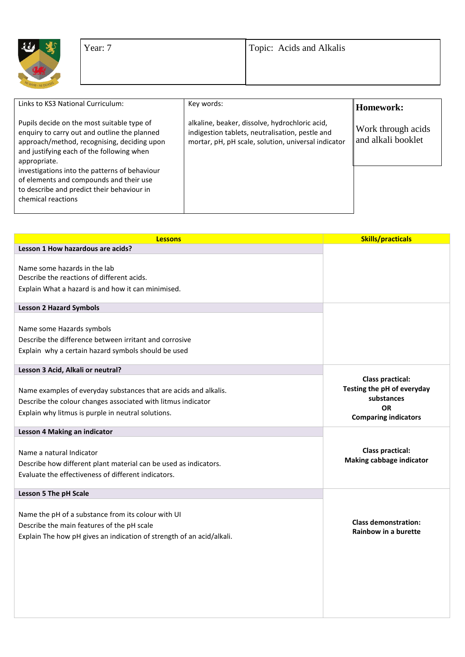| 4    |          |
|------|----------|
| WWYR | NI DDYSO |

| Links to KS3 National Curriculum:                                                                                                                                                                      | Key words:                                                                                                                                               | Homework:                                |
|--------------------------------------------------------------------------------------------------------------------------------------------------------------------------------------------------------|----------------------------------------------------------------------------------------------------------------------------------------------------------|------------------------------------------|
| Pupils decide on the most suitable type of<br>enquiry to carry out and outline the planned<br>approach/method, recognising, deciding upon<br>and justifying each of the following when<br>appropriate. | alkaline, beaker, dissolve, hydrochloric acid,<br>indigestion tablets, neutralisation, pestle and<br>mortar, pH, pH scale, solution, universal indicator | Work through acids<br>and alkali booklet |
| investigations into the patterns of behaviour<br>of elements and compounds and their use<br>to describe and predict their behaviour in<br>chemical reactions                                           |                                                                                                                                                          |                                          |

| <b>Lessons</b>                                                             | <b>Skills/practicals</b>                 |
|----------------------------------------------------------------------------|------------------------------------------|
| Lesson 1 How hazardous are acids?                                          |                                          |
|                                                                            |                                          |
| Name some hazards in the lab<br>Describe the reactions of different acids. |                                          |
|                                                                            |                                          |
| Explain What a hazard is and how it can minimised.                         |                                          |
| <b>Lesson 2 Hazard Symbols</b>                                             |                                          |
|                                                                            |                                          |
| Name some Hazards symbols                                                  |                                          |
| Describe the difference between irritant and corrosive                     |                                          |
| Explain why a certain hazard symbols should be used                        |                                          |
| Lesson 3 Acid, Alkali or neutral?                                          |                                          |
|                                                                            | <b>Class practical:</b>                  |
| Name examples of everyday substances that are acids and alkalis.           | Testing the pH of everyday               |
| Describe the colour changes associated with litmus indicator               | substances                               |
| Explain why litmus is purple in neutral solutions.                         | <b>OR</b><br><b>Comparing indicators</b> |
|                                                                            |                                          |
| Lesson 4 Making an indicator                                               |                                          |
|                                                                            | <b>Class practical:</b>                  |
| Name a natural Indicator                                                   | <b>Making cabbage indicator</b>          |
| Describe how different plant material can be used as indicators.           |                                          |
| Evaluate the effectiveness of different indicators.                        |                                          |
| <b>Lesson 5 The pH Scale</b>                                               |                                          |
|                                                                            |                                          |
| Name the pH of a substance from its colour with UI                         | <b>Class demonstration:</b>              |
| Describe the main features of the pH scale                                 | Rainbow in a burette                     |
| Explain The how pH gives an indication of strength of an acid/alkali.      |                                          |
|                                                                            |                                          |
|                                                                            |                                          |
|                                                                            |                                          |
|                                                                            |                                          |
|                                                                            |                                          |
|                                                                            |                                          |